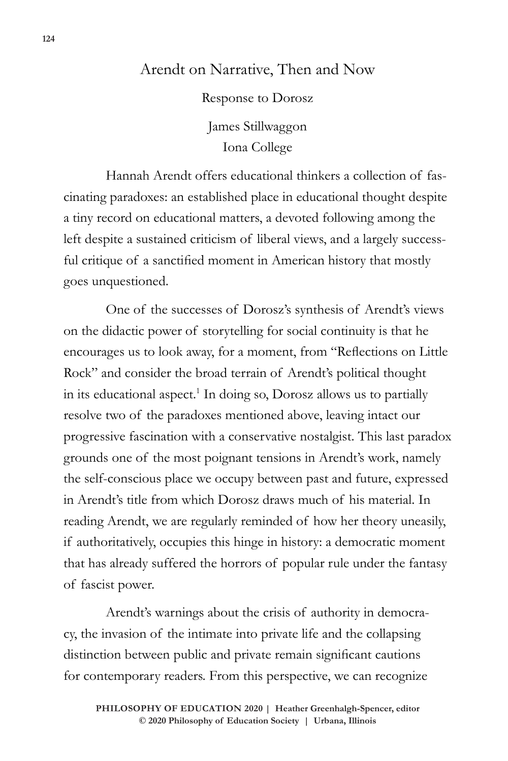## Arendt on Narrative, Then and Now

Response to Dorosz James Stillwaggon Iona College

Hannah Arendt offers educational thinkers a collection of fascinating paradoxes: an established place in educational thought despite a tiny record on educational matters, a devoted following among the left despite a sustained criticism of liberal views, and a largely successful critique of a sanctified moment in American history that mostly goes unquestioned.

One of the successes of Dorosz's synthesis of Arendt's views on the didactic power of storytelling for social continuity is that he encourages us to look away, for a moment, from "Reflections on Little Rock" and consider the broad terrain of Arendt's political thought in its educational aspect.<sup>1</sup> In doing so, Dorosz allows us to partially resolve two of the paradoxes mentioned above, leaving intact our progressive fascination with a conservative nostalgist. This last paradox grounds one of the most poignant tensions in Arendt's work, namely the self-conscious place we occupy between past and future, expressed in Arendt's title from which Dorosz draws much of his material. In reading Arendt, we are regularly reminded of how her theory uneasily, if authoritatively, occupies this hinge in history: a democratic moment that has already suffered the horrors of popular rule under the fantasy of fascist power.

Arendt's warnings about the crisis of authority in democracy, the invasion of the intimate into private life and the collapsing distinction between public and private remain significant cautions for contemporary readers. From this perspective, we can recognize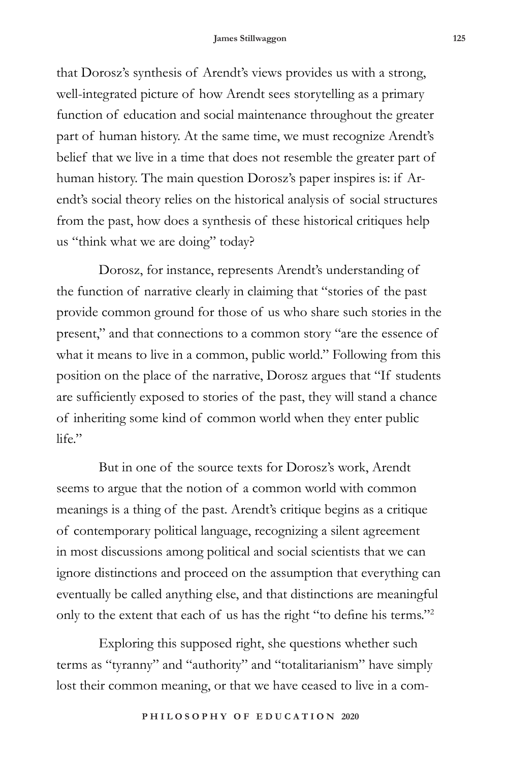that Dorosz's synthesis of Arendt's views provides us with a strong, well-integrated picture of how Arendt sees storytelling as a primary function of education and social maintenance throughout the greater part of human history. At the same time, we must recognize Arendt's belief that we live in a time that does not resemble the greater part of human history. The main question Dorosz's paper inspires is: if Arendt's social theory relies on the historical analysis of social structures from the past, how does a synthesis of these historical critiques help us "think what we are doing" today?

Dorosz, for instance, represents Arendt's understanding of the function of narrative clearly in claiming that "stories of the past provide common ground for those of us who share such stories in the present," and that connections to a common story "are the essence of what it means to live in a common, public world." Following from this position on the place of the narrative, Dorosz argues that "If students are sufficiently exposed to stories of the past, they will stand a chance of inheriting some kind of common world when they enter public  $l$ ife $"$ 

But in one of the source texts for Dorosz's work, Arendt seems to argue that the notion of a common world with common meanings is a thing of the past. Arendt's critique begins as a critique of contemporary political language, recognizing a silent agreement in most discussions among political and social scientists that we can ignore distinctions and proceed on the assumption that everything can eventually be called anything else, and that distinctions are meaningful only to the extent that each of us has the right "to define his terms."<sup>2</sup>

Exploring this supposed right, she questions whether such terms as "tyranny" and "authority" and "totalitarianism" have simply lost their common meaning, or that we have ceased to live in a com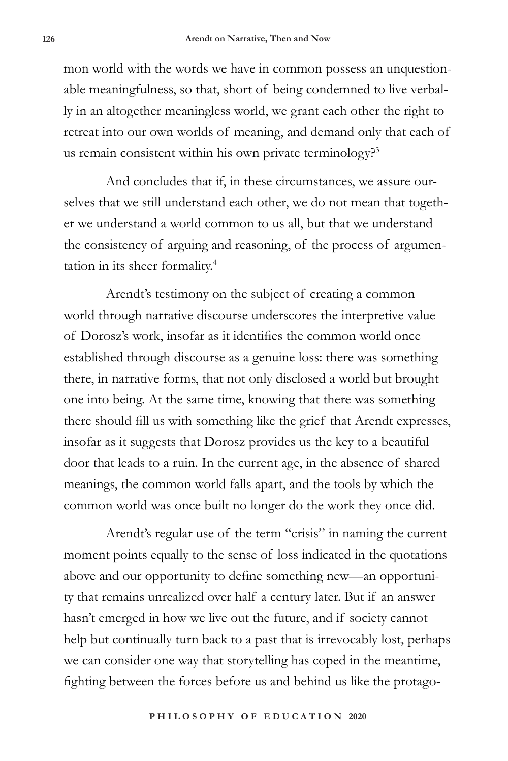mon world with the words we have in common possess an unquestionable meaningfulness, so that, short of being condemned to live verbally in an altogether meaningless world, we grant each other the right to retreat into our own worlds of meaning, and demand only that each of us remain consistent within his own private terminology?<sup>3</sup>

And concludes that if, in these circumstances, we assure ourselves that we still understand each other, we do not mean that together we understand a world common to us all, but that we understand the consistency of arguing and reasoning, of the process of argumentation in its sheer formality.4

Arendt's testimony on the subject of creating a common world through narrative discourse underscores the interpretive value of Dorosz's work, insofar as it identifies the common world once established through discourse as a genuine loss: there was something there, in narrative forms, that not only disclosed a world but brought one into being. At the same time, knowing that there was something there should fill us with something like the grief that Arendt expresses, insofar as it suggests that Dorosz provides us the key to a beautiful door that leads to a ruin. In the current age, in the absence of shared meanings, the common world falls apart, and the tools by which the common world was once built no longer do the work they once did.

Arendt's regular use of the term "crisis" in naming the current moment points equally to the sense of loss indicated in the quotations above and our opportunity to define something new—an opportunity that remains unrealized over half a century later. But if an answer hasn't emerged in how we live out the future, and if society cannot help but continually turn back to a past that is irrevocably lost, perhaps we can consider one way that storytelling has coped in the meantime, fighting between the forces before us and behind us like the protago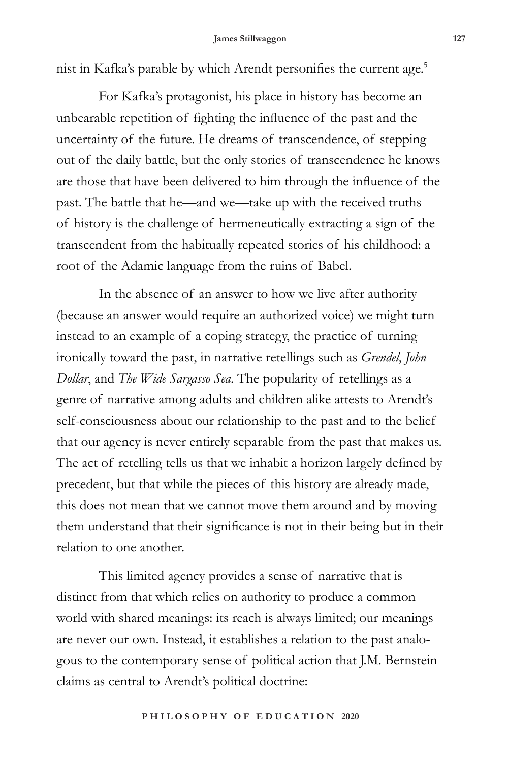nist in Kafka's parable by which Arendt personifies the current age.<sup>5</sup>

For Kafka's protagonist, his place in history has become an unbearable repetition of fighting the influence of the past and the uncertainty of the future. He dreams of transcendence, of stepping out of the daily battle, but the only stories of transcendence he knows are those that have been delivered to him through the influence of the past. The battle that he—and we—take up with the received truths of history is the challenge of hermeneutically extracting a sign of the transcendent from the habitually repeated stories of his childhood: a root of the Adamic language from the ruins of Babel.

In the absence of an answer to how we live after authority (because an answer would require an authorized voice) we might turn instead to an example of a coping strategy, the practice of turning ironically toward the past, in narrative retellings such as *Grendel*, *John Dollar*, and *The Wide Sargasso Sea*. The popularity of retellings as a genre of narrative among adults and children alike attests to Arendt's self-consciousness about our relationship to the past and to the belief that our agency is never entirely separable from the past that makes us. The act of retelling tells us that we inhabit a horizon largely defined by precedent, but that while the pieces of this history are already made, this does not mean that we cannot move them around and by moving them understand that their significance is not in their being but in their relation to one another.

This limited agency provides a sense of narrative that is distinct from that which relies on authority to produce a common world with shared meanings: its reach is always limited; our meanings are never our own. Instead, it establishes a relation to the past analogous to the contemporary sense of political action that J.M. Bernstein claims as central to Arendt's political doctrine: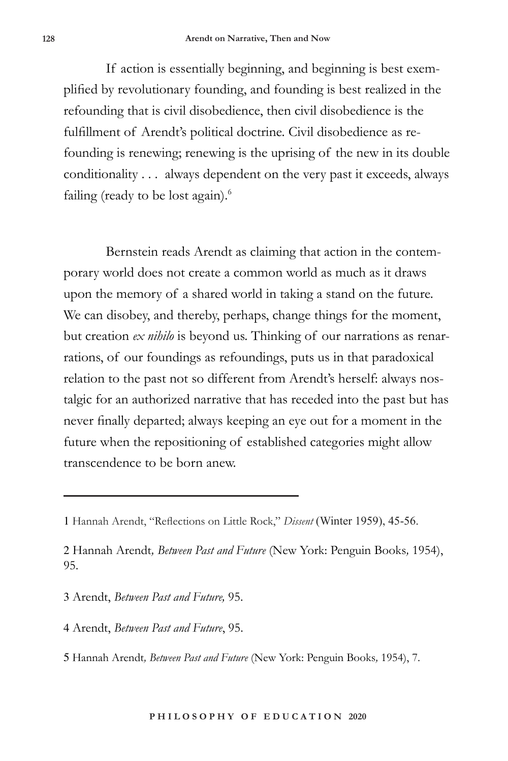If action is essentially beginning, and beginning is best exemplified by revolutionary founding, and founding is best realized in the refounding that is civil disobedience, then civil disobedience is the fulfillment of Arendt's political doctrine. Civil disobedience as refounding is renewing; renewing is the uprising of the new in its double conditionality . . . always dependent on the very past it exceeds, always failing (ready to be lost again). $6$ 

Bernstein reads Arendt as claiming that action in the contemporary world does not create a common world as much as it draws upon the memory of a shared world in taking a stand on the future. We can disobey, and thereby, perhaps, change things for the moment, but creation *ex nihilo* is beyond us. Thinking of our narrations as renarrations, of our foundings as refoundings, puts us in that paradoxical relation to the past not so different from Arendt's herself: always nostalgic for an authorized narrative that has receded into the past but has never finally departed; always keeping an eye out for a moment in the future when the repositioning of established categories might allow transcendence to be born anew.

- 3 Arendt, *Between Past and Future,* 95.
- 4 Arendt, *Between Past and Future*, 95.
- 5 Hannah Arendt*, Between Past and Future* (New York: Penguin Books*,* 1954), 7.

<sup>1</sup> Hannah Arendt, "Reflections on Little Rock," *Dissent* (Winter 1959), 45-56.

<sup>2</sup> Hannah Arendt*, Between Past and Future* (New York: Penguin Books*,* 1954), 95.